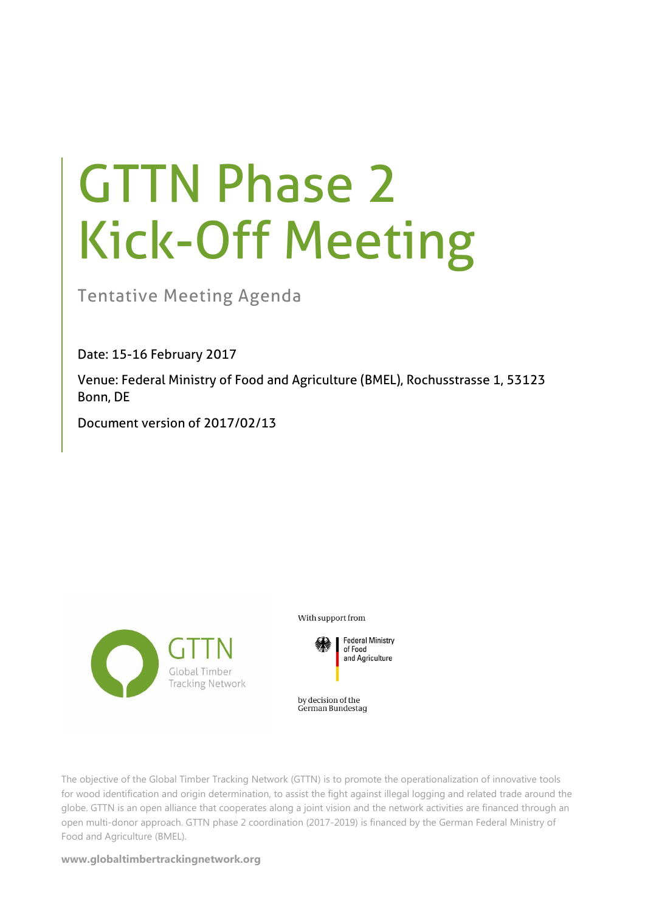# GTTN Phase 2 Kick-Off Meeting

Tentative Meeting Agenda

Date: 15-16 February 2017

Venue: Federal Ministry of Food and Agriculture (BMEL), Rochusstrasse 1, 53123 Bonn, DE

Document version of 2017/02/13



With support from



by decision of the German Bundestag

The objective of the Global Timber Tracking Network (GTTN) is to promote the operationalization of innovative tools for wood identification and origin determination, to assist the fight against illegal logging and related trade around the globe. GTTN is an open alliance that cooperates along a joint vision and the network activities are financed through an open multi-donor approach. GTTN phase 2 coordination (2017-2019) is financed by the German Federal Ministry of Food and Agriculture (BMEL).

**www.globaltimbertrackingnetwork.org**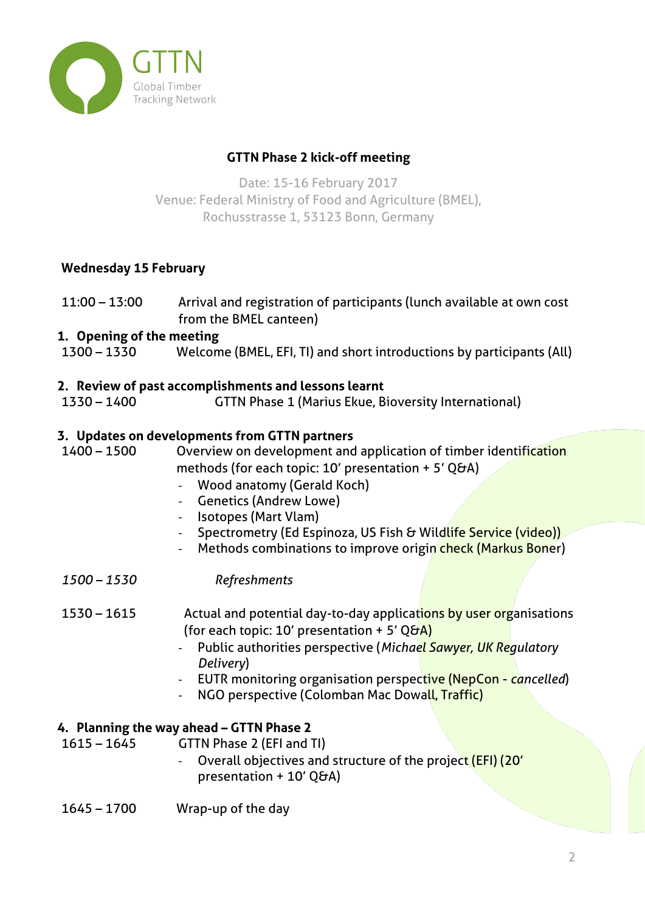

## **GTTN Phase 2 kick-off meeting**

Date: 15-16 February 2017 Venue: Federal Ministry of Food and Agriculture (BMEL), Rochusstrasse 1, 53123 Bonn, Germany

## **Wednesday 15 February**

11:00 – 13:00 Arrival and registration of participants (lunch available at own cost from the BMEL canteen)

## **1. Opening of the meeting**

1300 – 1330 Welcome (BMEL, EFI, TI) and short introductions by participants (All)

#### **2. Review of past accomplishments and lessons learnt**

1330 – 1400 GTTN Phase 1 (Marius Ekue, Bioversity International)

## **3. Updates on developments from GTTN partners**

1400 – 1500 Overview on development and application of timber identification methods (for each topic: 10' presentation + 5' O&A)

- Wood anatomy (Gerald Koch)
- Genetics (Andrew Lowe)
- Isotopes (Mart Vlam)
- Spectrometry (Ed Espinoza, US Fish & Wildlife Service (video))
- Methods combinations to improve origin check (Markus Boner)
- *1500 – 1530 Refreshments*

#### 1530 – 1615 Actual and potential day-to-day applications by user organisations (for each topic: 10' presentation + 5' Q&A)

- Public authorities perspective (*Michael Sawyer, UK Regulatory Delivery*)
- EUTR monitoring organisation perspective (NepCon *cancelled*)
- NGO perspective (Colomban Mac Dowall, Traffic)

#### **4. Planning the way ahead – GTTN Phase 2**

1615 – 1645 GTTN Phase 2 (EFI and TI)

- Overall objectives and structure of the project (EFI) (20' presentation + 10' Q&A)
- 1645 1700 Wrap-up of the day